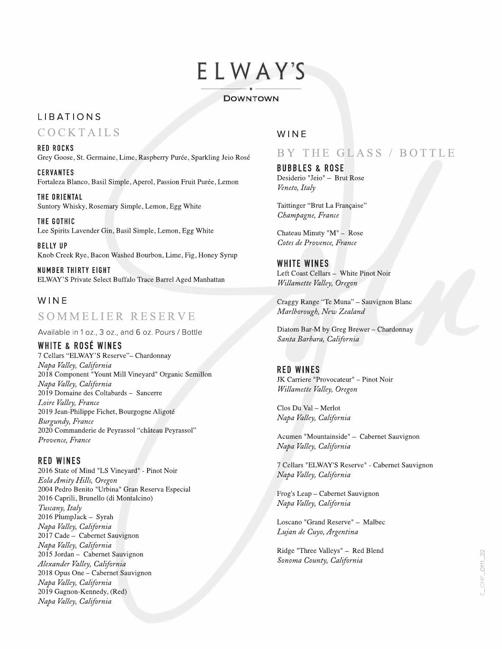# ELWAY'S ----- -----

#### DOWNTOWN

## LIBATIONS

COCKTAILS

RED ROCKS Grey Goose, St. Germaine, Lime, Raspberry Purée, Sparkling Jeio Rosé

CERVANTES Fortaleza Blanco, Basil Simple, Aperol, Passion Fruit Purée, Lemon

THE ORIENTAL Suntory Whisky, Rosemary Simple, Lemon, Egg White

THE GOTHIC Lee Spirits Lavender Gin, Basil Simple, Lemon, Egg White

BELLY UP Knob Creek Rye, Bacon Washed Bourbon, Lime, Fig, Honey Syrup

NUMBER THIRTY EIGHT ELWAY'S Private Select Buffalo Trace Barrel Aged Manhattan

## WINE

# SOMMELIER RESERVE

Available in 1 oz., 3 oz., and 6 oz. Pours/ Bottle

WHITE & ROSÉ WINES 7 Cellars "ELWAY'S Reserve"- Chardonnay Napa Valley, California 2018 Component " Yount Mill Vineyard" Organic Semillon Napa Valley, California 2019 Domaine des Coltabards - Sancerre Loire Valley, France 2019 Jean-Philippe Fichet, Bourgogne Aligote Burgundy, France 2020 Commanderie de Peyrassol "château Peyrassol" Provence, France

RED WINES 2016 State of Mind "LS Vineyard" - Pinot Noir Eola Amity Hills, Oregon 2004 Pedro Benito "Urbina" Gran Reserva Especial 2016 Caprili, Brunello (di Montalcino) Tuscany, Italy 2016 PlumpJack- Syrah Napa Valley, California 2017 Cade - Cabernet Sauvignon Napa Valley, California 2015 Jordan - Cabernet Sauvignon Alexander Valley, California 2018 Opus One - Cabernet Sauvignon Napa Valley, California 2019 Gagnon-Kennedy, (Red) Napa Valley, California

### WINE

# BY THE GLASS / BOTTLE

BUBBLES & ROSE Desiderio "Jeio" - Brut Rose Veneta, Italy

Taittinger "Brut La Française" Champagne, France

Chateau Minuty "M" - Rose Cotes de Provence, France

WHITE WINES Left Coast Cellars - White Pinot Noir Willamette Valley, Oregon

Craggy Range "Te Muna" - Sauvignon Blanc Marlborough, New Zealand

Diatom Bar-M by Greg Brewer - Chardonnay Santa Barbara, California

## RED WINES

JK Carriere "Provocateur" - Pinot Noir Willamette Valley, Oregon

Clos Du Val - Merlot Napa Valley, California

Acumen "Mountainside" - Cabernet Sauvignon Napa Valley, California

7 Cellars "ELWAY'S Reserve" - Cabernet Sauvignon Napa Valley, California

Frog's Leap - Cabernet Sauvignon Napa Valley, California

Loscano "Grand Reserve" - Malbec Lujan de Cuyo, Argentina

Ridge "Three Valleys" - Red Blend Sonoma County, California